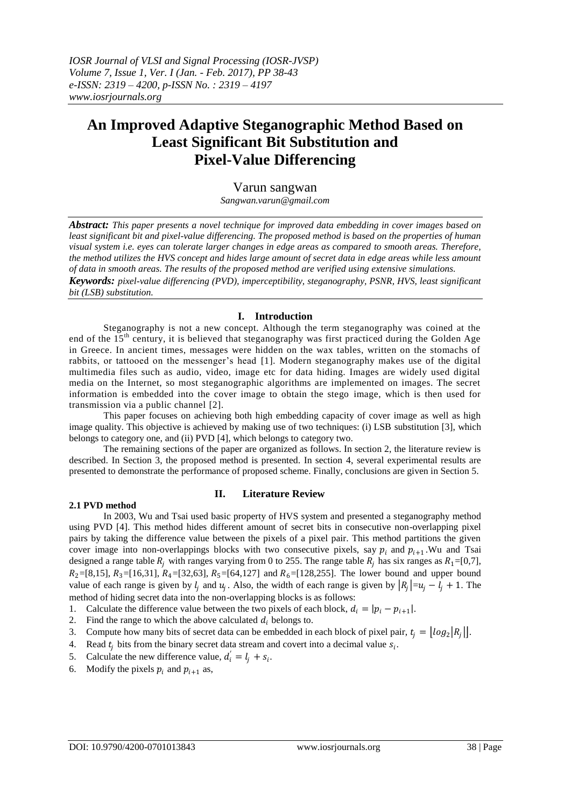# **An Improved Adaptive Steganographic Method Based on Least Significant Bit Substitution and Pixel-Value Differencing**

# Varun sangwan

*Sangwan.varun@gmail.com*

*Abstract: This paper presents a novel technique for improved data embedding in cover images based on least significant bit and pixel-value differencing. The proposed method is based on the properties of human visual system i.e. eyes can tolerate larger changes in edge areas as compared to smooth areas. Therefore, the method utilizes the HVS concept and hides large amount of secret data in edge areas while less amount of data in smooth areas. The results of the proposed method are verified using extensive simulations. Keywords: pixel-value differencing (PVD), imperceptibility, steganography, PSNR, HVS, least significant bit (LSB) substitution.*

## **I. Introduction**

Steganography is not a new concept. Although the term steganography was coined at the end of the 15<sup>th</sup> century, it is believed that steganography was first practiced during the Golden Age in Greece. In ancient times, messages were hidden on the wax tables, written on the stomachs of rabbits, or tattooed on the messenger"s head [1]. Modern steganography makes use of the digital multimedia files such as audio, video, image etc for data hiding. Images are widely used digital media on the Internet, so most steganographic algorithms are implemented on images. The secret information is embedded into the cover image to obtain the stego image, which is then used for transmission via a public channel [2].

This paper focuses on achieving both high embedding capacity of cover image as well as high image quality. This objective is achieved by making use of two techniques: (i) LSB substitution [3], which belongs to category one, and (ii) PVD [4], which belongs to category two.

The remaining sections of the paper are organized as follows. In section 2, the literature review is described. In Section 3, the proposed method is presented. In section 4, several experimental results are presented to demonstrate the performance of proposed scheme. Finally, conclusions are given in Section 5.

#### **2.1 PVD method**

## **II. Literature Review**

In 2003, Wu and Tsai used basic property of HVS system and presented a steganography method using PVD [4]. This method hides different amount of secret bits in consecutive non-overlapping pixel pairs by taking the difference value between the pixels of a pixel pair. This method partitions the given cover image into non-overlappings blocks with two consecutive pixels, say  $p_i$  and  $p_{i+1}$ . Wu and Tsai designed a range table  $R_i$  with ranges varying from 0 to 255. The range table  $R_i$  has six ranges as  $R_1=[0,7]$ ,  $R_2=[8,15], R_3=[16,31], R_4=[32,63], R_5=[64,127]$  and  $R_6=[128,255]$ . The lower bound and upper bound value of each range is given by  $l_j$  and  $u_j$ . Also, the width of each range is given by  $|R_j|=u_j-l_j+1$ . The method of hiding secret data into the non-overlapping blocks is as follows:

## 1. Calculate the difference value between the two pixels of each block,  $d_i = |p_i - p_{i+1}|$ .

2. Find the range to which the above calculated  $d_i$  belongs to.

3. Compute how many bits of secret data can be embedded in each block of pixel pair,  $t_j = \lfloor log_2 |R_j| \rfloor$ .

- 4. Read  $t_j$  bits from the binary secret data stream and covert into a decimal value  $s_i$ .
- 5. Calculate the new difference value,  $d_i' = l_j + s_i$ .
- 6. Modify the pixels  $p_i$  and  $p_{i+1}$  as,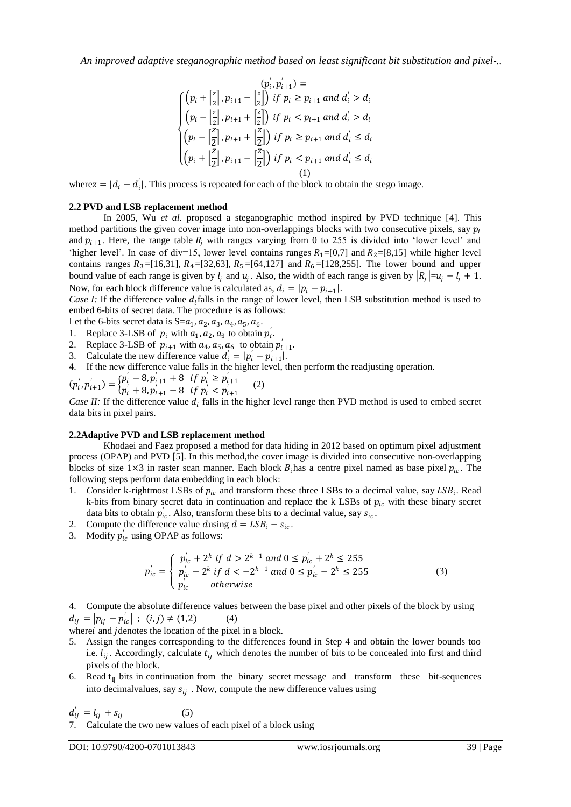$$
\begin{cases}\n(p_i + \left[\frac{z}{2}\right], p_{i+1} - \left[\frac{z}{2}\right]) & \text{if } p_i \ge p_{i+1} \text{ and } d_i' > d_i \\
(p_i - \left[\frac{z}{2}\right], p_{i+1} + \left[\frac{z}{2}\right]) & \text{if } p_i < p_{i+1} \text{ and } d_i' > d_i \\
(p_i - \left[\frac{z}{2}\right], p_{i+1} + \left[\frac{z}{2}\right]) & \text{if } p_i \ge p_{i+1} \text{ and } d_i' \le d_i \\
(p_i + \left[\frac{z}{2}\right], p_{i+1} - \left[\frac{z}{2}\right]) & \text{if } p_i < p_{i+1} \text{ and } d_i' \le d_i \\
(1)\n\end{cases}
$$

where  $z = |d_i - d'_i|$ . This process is repeated for each of the block to obtain the stego image.

## **2.2 PVD and LSB replacement method**

In 2005, Wu *et al.* proposed a steganographic method inspired by PVD technique [4]. This method partitions the given cover image into non-overlappings blocks with two consecutive pixels, say  $p_i$ and  $p_{i+1}$ . Here, the range table  $R_i$  with ranges varying from 0 to 255 is divided into 'lower level' and 'higher level'. In case of div=15, lower level contains ranges  $R_1=[0,7]$  and  $R_2=[8,15]$  while higher level contains ranges  $R_3 = [16,31], R_4 = [32,63], R_5 = [64,127]$  and  $R_6 = [128,255]$ . The lower bound and upper bound value of each range is given by  $l_j$  and  $u_j$ . Also, the width of each range is given by  $|R_j|=u_j-l_j+1$ . Now, for each block difference value is calculated as,  $d_i = |p_i - p_{i+1}|$ .

*Case I:* If the difference value  $d_i$  falls in the range of lower level, then LSB substitution method is used to embed 6-bits of secret data. The procedure is as follows:

Let the 6-bits secret data is  $S = a_1, a_2, a_3, a_4, a_5, a_6$ .

- 1. Replace 3-LSB of  $p_i$  with  $a_1, a_2, a_3$  to obtain  $p'_i$ .
- 2. Replace 3-LSB of  $p_{i+1}$  with  $a_4$ ,  $a_5$ ,  $a_6$  to obtain  $p'_{i+1}$ .
- 3. Calculate the new difference value  $d'_i = |p'_i p'_{i+1}|$ .
- 4. If the new difference value falls in the higher level, then perform the readjusting operation.
- $(p'_i, p'_{i+1}) =\begin{cases} p'_i 8, p'_{i+1} + 8 & \text{if } p'_i \geq p'_{i+1} \\ n' + 8, n' = -8 & \text{if } n' \leq n' \end{cases}$  $p_i^{\prime}$  + 8,  $p_{i+1}^{\prime}$  - 8 if  $p_i^{\prime}$  =  $p_{i+1}^{\prime}$  (2)

*Case II:* If the difference value  $d_i$  falls in the higher level range then PVD method is used to embed secret data bits in pixel pairs.

## **2.2Adaptive PVD and LSB replacement method**

Khodaei and Faez proposed a method for data hiding in 2012 based on optimum pixel adjustment process (OPAP) and PVD [5]. In this method,the cover image is divided into consecutive non-overlapping blocks of size  $1\times3$  in raster scan manner. Each block  $B_i$  has a centre pixel named as base pixel  $p_{ic}$ . The following steps perform data embedding in each block:

- 1. Consider k-rightmost LSBs of  $p_{ic}$  and transform these three LSBs to a decimal value, say  $LSB_i$ . Read k-bits from binary secret data in continuation and replace the k LSBs of  $p_{ic}$  with these binary secret data bits to obtain  $p'_{ic}$ . Also, transform these bits to a decimal value, say  $s_{ic}$ .
- 2. Compute the difference value dusing  $d = LSB_i s_{ic}$ .
- 3. Modify  $p'_{ic}$  using OPAP as follows:

$$
p'_{ic} = \begin{cases} p'_{ic} + 2^k \text{ if } d > 2^{k-1} \text{ and } 0 \le p'_{ic} + 2^k \le 255\\ p'_{ic} - 2^k \text{ if } d < -2^{k-1} \text{ and } 0 \le p'_{ic} - 2^k \le 255\\ p'_{ic} \text{ otherwise} \end{cases}
$$
(3)

4. Compute the absolute difference values between the base pixel and other pixels of the block by using  $d_{ij} = |p_{ij} - p'_{ic}|$ ;  $(i, j) \neq (1, 2)$  (4)

where *i* and *j* denotes the location of the pixel in a block.

- 5. Assign the ranges corresponding to the differences found in Step 4 and obtain the lower bounds too i.e.  $l_{ij}$ . Accordingly, calculate  $t_{ij}$  which denotes the number of bits to be concealed into first and third pixels of the block.
- 6. Read  $t_{ii}$  bits in continuation from the binary secret message and transform these bit-sequences into decimalvalues, say  $s_{ij}$ . Now, compute the new difference values using

$$
d'_{ij} = l_{ij} + s_{ij} \tag{5}
$$

7. Calculate the two new values of each pixel of a block using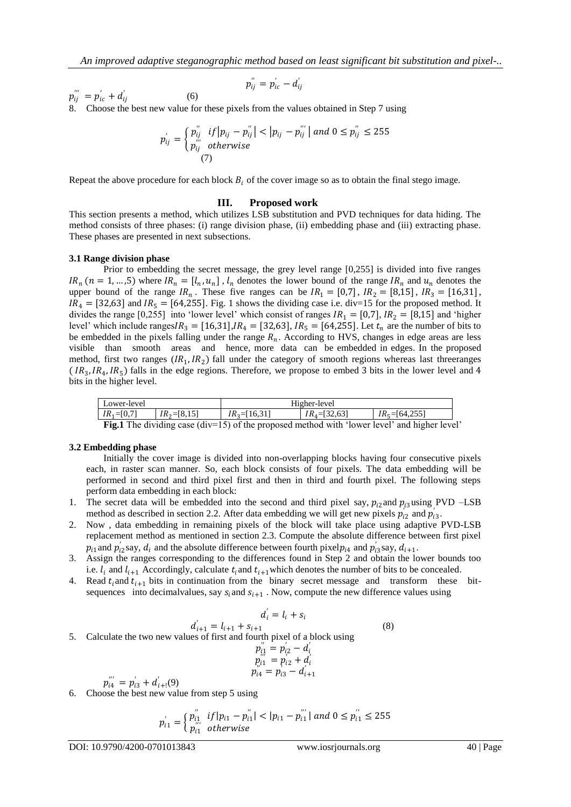$$
p^{''}_{ij}=p^{'}_{ic}-d^{'}_{ij}\,
$$

 $p_{ij}^{^{\prime\prime\prime}}=p_{ic}^{^{\prime}}+d_{ij}^{^{\prime}}$ (6)

8. Choose the best new value for these pixels from the values obtained in Step 7 using

$$
p_{ij}^{'} = \begin{cases} p_{ij}^{''} & if |p_{ij} - p_{ij}^{''}| < |p_{ij} - p_{ij}^{'''}| \text{ and } 0 \leq p_{ij}^{''} \leq 255\\ p_{ij}^{'''} & otherwise \end{cases}
$$
 (7)

Repeat the above procedure for each block  $B_i$  of the cover image so as to obtain the final stego image.

#### **III. Proposed work**

This section presents a method, which utilizes LSB substitution and PVD techniques for data hiding. The method consists of three phases: (i) range division phase, (ii) embedding phase and (iii) extracting phase. These phases are presented in next subsections.

#### **3.1 Range division phase**

Prior to embedding the secret message, the grey level range [0,255] is divided into five ranges  $IR_n$  ( $n = 1, ..., 5$ ) where  $IR_n = [l_n, u_n]$ ,  $l_n$  denotes the lower bound of the range  $IR_n$  and  $u_n$  denotes the upper bound of the range  $IR_n$ . These five ranges can be  $IR_1 = [0,7]$ ,  $IR_2 = [8,15]$ ,  $IR_3 = [16,31]$ ,  $IR_4 = [32,63]$  and  $IR_5 = [64,255]$ . Fig. 1 shows the dividing case i.e. div=15 for the proposed method. It divides the range [0,255] into 'lower level' which consist of ranges  $IR_1 = [0,7]$ ,  $IR_2 = [8,15]$  and 'higher level' which include ranges $IR_3 = [16,31], IR_4 = [32,63], IR_5 = [64,255].$  Let  $t_n$  are the number of bits to be embedded in the pixels falling under the range  $R_n$ . According to HVS, changes in edge areas are less visible than smooth areas and hence, more data can be embedded in edges. In the proposed method, first two ranges  $(IR_1, IR_2)$  fall under the category of smooth regions whereas last threeranges  $(R_3, IR_4, IR_5)$  falls in the edge regions. Therefore, we propose to embed 3 bits in the lower level and 4 bits in the higher level.

| Lower-level                                                                                         |                  | Higher-level     |                  |                    |  |  |  |
|-----------------------------------------------------------------------------------------------------|------------------|------------------|------------------|--------------------|--|--|--|
| $IR_1 = [0,7]$                                                                                      | $IR_2 = [8, 15]$ | $IR_3 = [16,31]$ | $IR4 = [32, 63]$ | $IR_5 = [64, 255]$ |  |  |  |
| <b>Fig.1</b> The dividing case $div=15$ of the proposed method with 'lower level' and higher level' |                  |                  |                  |                    |  |  |  |

#### **3.2 Embedding phase**

Initially the cover image is divided into non-overlapping blocks having four consecutive pixels each, in raster scan manner. So, each block consists of four pixels. The data embedding will be performed in second and third pixel first and then in third and fourth pixel. The following steps perform data embedding in each block:

- 1. The secret data will be embedded into the second and third pixel say,  $p_{i2}$  and  $p_{i3}$  using PVD –LSB method as described in section 2.2. After data embedding we will get new pixels  $p_{i2}^{'}$  and  $p_{i3}^{'}$ .
- 2. Now , data embedding in remaining pixels of the block will take place using adaptive PVD-LSB replacement method as mentioned in section 2.3. Compute the absolute difference between first pixel  $p_{i1}$  and  $p'_{i2}$ say,  $d_i$  and the absolute difference between fourth pixel $p_{i4}$  and  $p'_{i3}$ say,  $d_{i+1}$ .
- 3. Assign the ranges corresponding to the differences found in Step 2 and obtain the lower bounds too i.e.  $l_i$  and  $l_{i+1}$  Accordingly, calculate  $t_i$  and  $t_{i+1}$  which denotes the number of bits to be concealed.
- 4. Read  $t_i$  and  $t_{i+1}$  bits in continuation from the binary secret message and transform these bitsequences into decimalvalues, say  $s_i$  and  $s_{i+1}$ . Now, compute the new difference values using

$$
d'_{i+1} = l_{i+1} + s_{i+1}
$$
  
5. Calculate the two new values of first and fourth pixel of a block using  

$$
p''_{i,i} = p'_{i2} - d'_{i}
$$
 (8)

$$
p_{i,1}^{\prime\prime} = p_{i,2}^{\prime} - d_{i}^{\prime} \np_{i,1}^{\prime} = p_{i,2}^{\prime} + d_{i}^{\prime} \np_{i,4}^{\prime} = p_{i,3}^{\prime} - d_{i+1}^{\prime}
$$

$$
p_{i4}^{'''} = p_{i3}^{'} + d_{i+1}^{'}(9)
$$

6. Choose the best new value from step 5 using

$$
p'_{i1} = \begin{cases} p''_{i1} & if |p_{i1} - p''_{i1}| < |p_{i1} - p'''_{i1}| \text{ and } 0 \le p''_{i1} \le 255\\ p'''_{i1} & otherwise \end{cases}
$$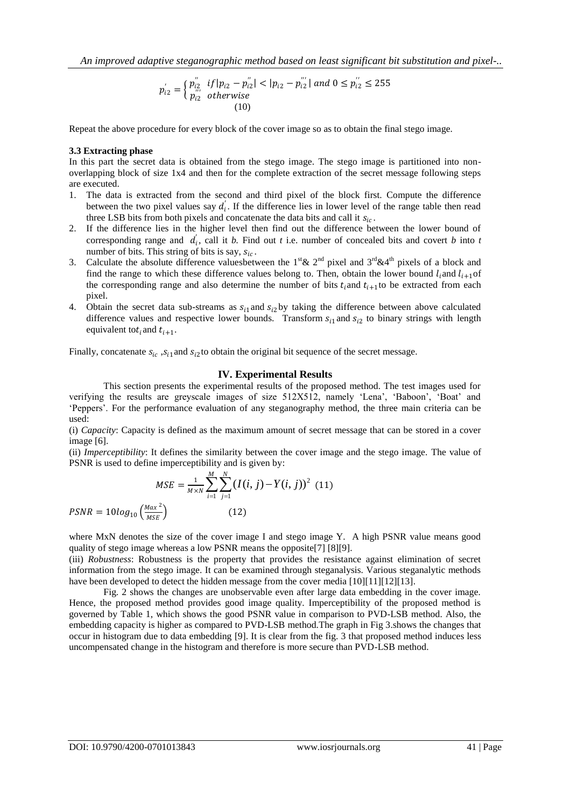*An improved adaptive steganographic method based on least significant bit substitution and pixel-..*

$$
p'_{i2} = \begin{cases} p''_{i2} & if |p_{i2} - p''_{i2}| < |p_{i2} - p'''_{i2}| \text{ and } 0 \le p''_{i2} \le 255\\ p'''_{i2} & otherwise \end{cases}
$$
  
(10)

Repeat the above procedure for every block of the cover image so as to obtain the final stego image.

#### **3.3 Extracting phase**

In this part the secret data is obtained from the stego image. The stego image is partitioned into nonoverlapping block of size 1x4 and then for the complete extraction of the secret message following steps are executed.

- 1. The data is extracted from the second and third pixel of the block first. Compute the difference between the two pixel values say  $d_i$ . If the difference lies in lower level of the range table then read three LSB bits from both pixels and concatenate the data bits and call it  $s_{ic}$ .
- 2. If the difference lies in the higher level then find out the difference between the lower bound of corresponding range and  $d_i$ , call it *b*. Find out *t* i.e. number of concealed bits and covert *b* into *t* number of bits. This string of bits is say,  $s_{ic}$ .
- 3. Calculate the absolute difference values between the 1<sup>st</sup> & 2<sup>nd</sup> pixel and 3<sup>rd</sup> & 4<sup>th</sup> pixels of a block and find the range to which these difference values belong to. Then, obtain the lower bound  $l_i$  and  $l_{i+1}$ of the corresponding range and also determine the number of bits  $t_i$  and  $t_{i+1}$  to be extracted from each pixel.
- 4. Obtain the secret data sub-streams as  $s_{i1}$  and  $s_{i2}$  by taking the difference between above calculated difference values and respective lower bounds. Transform  $s_{i1}$  and  $s_{i2}$  to binary strings with length equivalent to  $t_i$  and  $t_{i+1}$ .

Finally, concatenate  $s_{ic}$ ,  $s_{i1}$  and  $s_{i2}$  to obtain the original bit sequence of the secret message.

## **IV. Experimental Results**

This section presents the experimental results of the proposed method. The test images used for verifying the results are greyscale images of size 512X512, namely "Lena", "Baboon", "Boat" and "Peppers". For the performance evaluation of any steganography method, the three main criteria can be used:

(i) *Capacity*: Capacity is defined as the maximum amount of secret message that can be stored in a cover image [6].

(ii) *Imperceptibility*: It defines the similarity between the cover image and the stego image. The value of PSNR is used to define imperceptibility and is given by:

$$
MSE = \frac{1}{M \times N} \sum_{i=1}^{M} \sum_{j=1}^{N} (I(i, j) - Y(i, j))^{2}
$$
 (11)  
PSNR =  $10log_{10} \left(\frac{Max^{2}}{MSE}\right)$  (12)

where MxN denotes the size of the cover image I and stego image Y. A high PSNR value means good quality of stego image whereas a low PSNR means the opposite[7] [8][9].

(iii) *Robustness*: Robustness is the property that provides the resistance against elimination of secret information from the stego image. It can be examined through steganalysis. Various steganalytic methods have been developed to detect the hidden message from the cover media [10][11][12][13].

Fig. 2 shows the changes are unobservable even after large data embedding in the cover image. Hence, the proposed method provides good image quality. Imperceptibility of the proposed method is governed by Table 1, which shows the good PSNR value in comparison to PVD-LSB method. Also, the embedding capacity is higher as compared to PVD-LSB method.The graph in Fig 3.shows the changes that occur in histogram due to data embedding [9]. It is clear from the fig. 3 that proposed method induces less uncompensated change in the histogram and therefore is more secure than PVD-LSB method.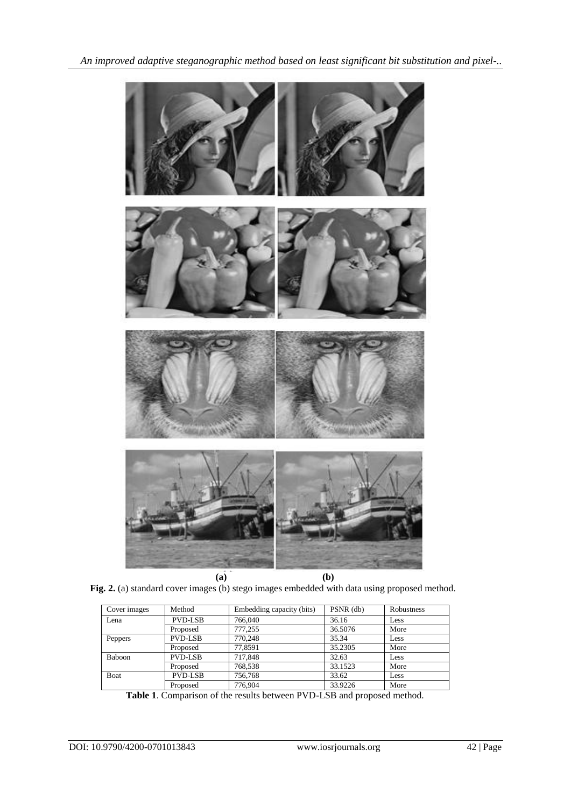

**Fig. 2.** (a) standard cover images (b) stego images embedded with data using proposed method.

| Cover images | Method         | Embedding capacity (bits) | PSNR (db) | Robustness |
|--------------|----------------|---------------------------|-----------|------------|
| Lena         | <b>PVD-LSB</b> | 766,040                   | 36.16     | Less       |
|              | Proposed       | 777.255                   | 36.5076   | More       |
| Peppers      | <b>PVD-LSB</b> | 770.248                   | 35.34     | Less       |
|              | Proposed       | 77,8591                   | 35.2305   | More       |
| Baboon       | <b>PVD-LSB</b> | 717.848                   | 32.63     | Less       |
|              | Proposed       | 768.538                   | 33.1523   | More       |
| Boat         | <b>PVD-LSB</b> | 756,768                   | 33.62     | Less       |
|              | Proposed       | 776.904                   | 33.9226   | More       |

**Table 1**. Comparison of the results between PVD-LSB and proposed method.